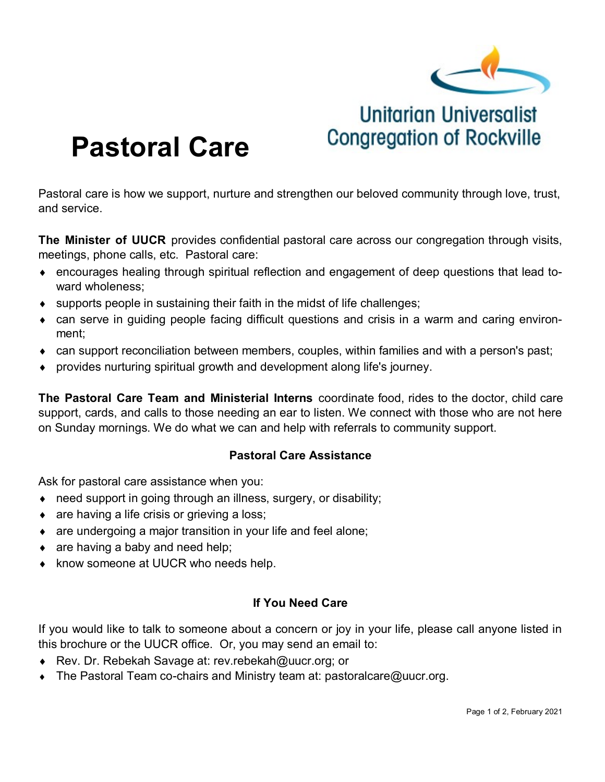

**Unitarian Universalist** 

**Congregation of Rockville** 

# **Pastoral Care**

Pastoral care is how we support, nurture and strengthen our beloved community through love, trust, and service.

**The Minister of UUCR** provides confidential pastoral care across our congregation through visits, meetings, phone calls, etc. Pastoral care:

- encourages healing through spiritual reflection and engagement of deep questions that lead toward wholeness;
- supports people in sustaining their faith in the midst of life challenges;
- can serve in guiding people facing difficult questions and crisis in a warm and caring environment;
- can support reconciliation between members, couples, within families and with a person's past;
- provides nurturing spiritual growth and development along life's journey.

**The Pastoral Care Team and Ministerial Interns** coordinate food, rides to the doctor, child care support, cards, and calls to those needing an ear to listen. We connect with those who are not here on Sunday mornings. We do what we can and help with referrals to community support.

#### **Pastoral Care Assistance**

Ask for pastoral care assistance when you:

- need support in going through an illness, surgery, or disability;
- $\bullet$  are having a life crisis or grieving a loss;
- are undergoing a major transition in your life and feel alone;
- $\bullet$  are having a baby and need help;
- ◆ know someone at UUCR who needs help.

#### **If You Need Care**

If you would like to talk to someone about a concern or joy in your life, please call anyone listed in this brochure or the UUCR office. Or, you may send an email to:

- Rev. Dr. Rebekah Savage at: rev.rebekah@uucr.org; or
- The Pastoral Team co-chairs and Ministry team at: pastoralcare@uucr.org.